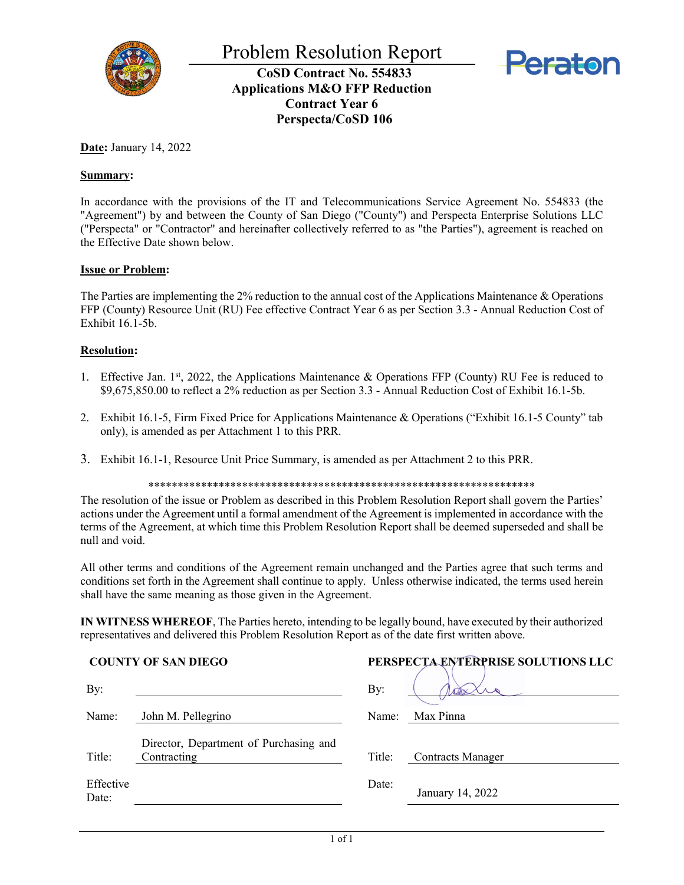



**CoSD Contract No. 554833 Applications M&O FFP Reduction Contract Year 6 Perspecta/CoSD 106**

**Date:** January 14, 2022

# **Summary:**

In accordance with the provisions of the IT and Telecommunications Service Agreement No. 554833 (the "Agreement") by and between the County of San Diego ("County") and Perspecta Enterprise Solutions LLC ("Perspecta" or "Contractor" and hereinafter collectively referred to as "the Parties"), agreement is reached on the Effective Date shown below.

### **Issue or Problem:**

The Parties are implementing the 2% reduction to the annual cost of the Applications Maintenance & Operations FFP (County) Resource Unit (RU) Fee effective Contract Year 6 as per Section 3.3 - Annual Reduction Cost of Exhibit 16.1-5b.

# **Resolution:**

- 1. Effective Jan. 1st, 2022, the Applications Maintenance & Operations FFP (County) RU Fee is reduced to \$9,675,850.00 to reflect a 2% reduction as per Section 3.3 - Annual Reduction Cost of Exhibit 16.1-5b.
- 2. Exhibit 16.1-5, Firm Fixed Price for Applications Maintenance & Operations ("Exhibit 16.1-5 County" tab only), is amended as per Attachment 1 to this PRR.
- 3. Exhibit 16.1-1, Resource Unit Price Summary, is amended as per Attachment 2 to this PRR.

\*\*\*\*\*\*\*\*\*\*\*\*\*\*\*\*\*\*\*\*\*\*\*\*\*\*\*\*\*\*\*\*\*\*\*\*\*\*\*\*\*\*\*\*\*\*\*\*\*\*\*\*\*\*\*\*\*\*\*\*\*\*\*\*\*\*

The resolution of the issue or Problem as described in this Problem Resolution Report shall govern the Parties' actions under the Agreement until a formal amendment of the Agreement is implemented in accordance with the terms of the Agreement, at which time this Problem Resolution Report shall be deemed superseded and shall be null and void.

All other terms and conditions of the Agreement remain unchanged and the Parties agree that such terms and conditions set forth in the Agreement shall continue to apply. Unless otherwise indicated, the terms used herein shall have the same meaning as those given in the Agreement.

**IN WITNESS WHEREOF**, The Parties hereto, intending to be legally bound, have executed by their authorized representatives and delivered this Problem Resolution Report as of the date first written above.

### **COUNTY OF SAN DIEGO**

| By:                |                                                       | By:    |                          |
|--------------------|-------------------------------------------------------|--------|--------------------------|
| Name:              | John M. Pellegrino                                    | Name:  | Max Pinna                |
| Title:             | Director, Department of Purchasing and<br>Contracting | Title: | <b>Contracts Manager</b> |
| Effective<br>Date: |                                                       | Date:  | January 14, 2022         |

| PERSPECTA ENTERPRISE SOLUTIONS LLC |                          |  |  |  |  |  |  |
|------------------------------------|--------------------------|--|--|--|--|--|--|
| By:                                |                          |  |  |  |  |  |  |
| Name:                              | Max Pinna                |  |  |  |  |  |  |
|                                    |                          |  |  |  |  |  |  |
| Title:                             | <b>Contracts Manager</b> |  |  |  |  |  |  |
| Date:                              | January 14, 2022         |  |  |  |  |  |  |
|                                    |                          |  |  |  |  |  |  |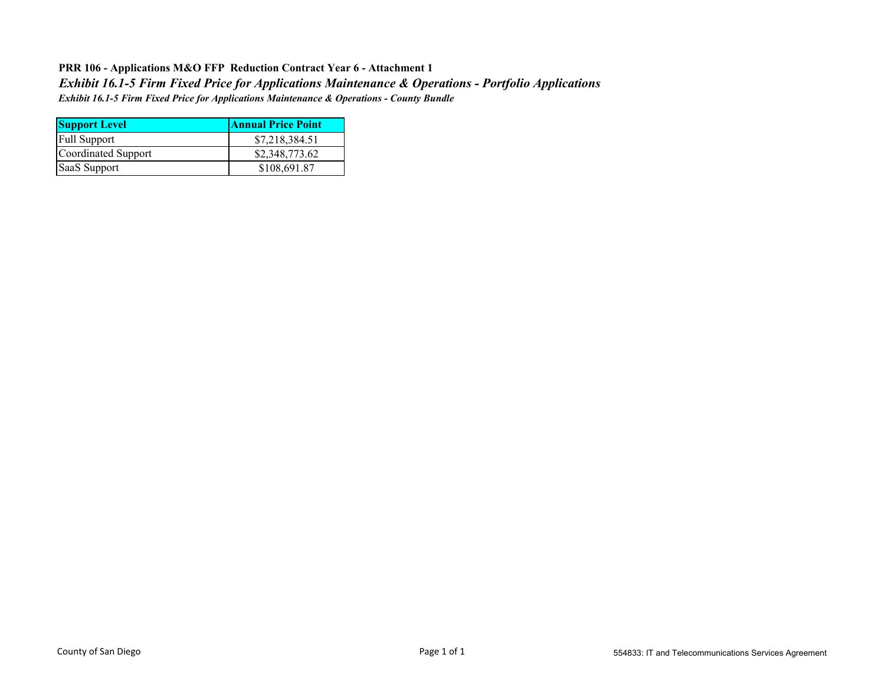# **PRR 106 - Applications M&O FFP Reduction Contract Year 6 - Attachment 1** *Exhibit 16.1-5 Firm Fixed Price for Applications Maintenance & Operations - County Bundle Exhibit 16.1-5 Firm Fixed Price for Applications Maintenance & Operations - Portfolio Applications*

| <b>Support Level</b> | <b>Annual Price Point</b> |  |  |  |  |  |
|----------------------|---------------------------|--|--|--|--|--|
| <b>Full Support</b>  | \$7,218,384.51            |  |  |  |  |  |
| Coordinated Support  | \$2,348,773.62            |  |  |  |  |  |
| SaaS Support         | \$108,691.87              |  |  |  |  |  |